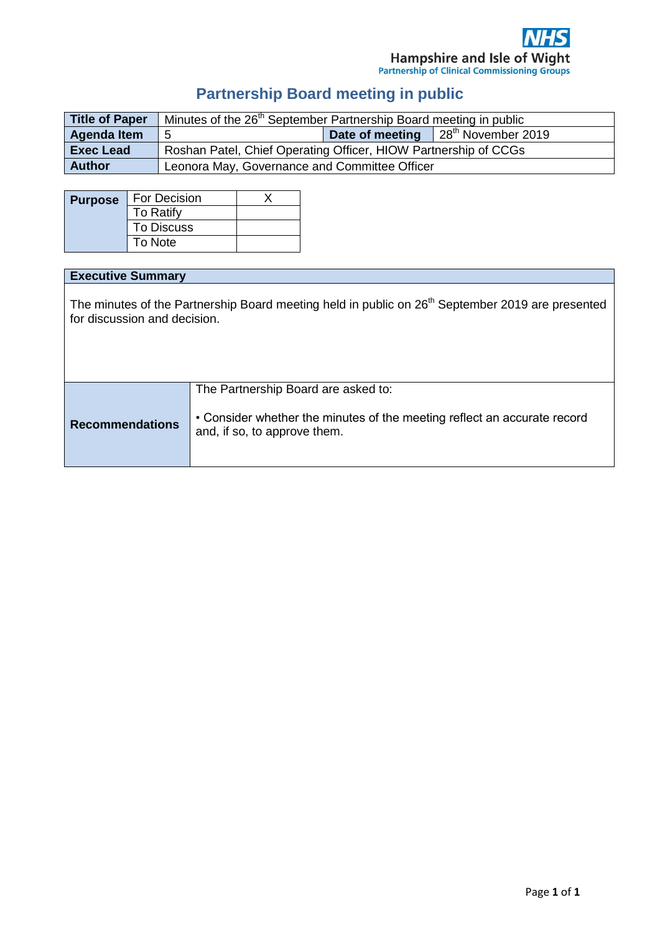# **Partnership Board meeting in public**

| Title of Paper     | Minutes of the 26 <sup>th</sup> September Partnership Board meeting in public |  |                                                       |
|--------------------|-------------------------------------------------------------------------------|--|-------------------------------------------------------|
| <b>Agenda Item</b> |                                                                               |  | <b>Date of meeting</b> $\left  28^{th}$ November 2019 |
| <b>Exec Lead</b>   | Roshan Patel, Chief Operating Officer, HIOW Partnership of CCGs               |  |                                                       |
| <b>Author</b>      | Leonora May, Governance and Committee Officer                                 |  |                                                       |

| <b>Purpose</b> | For Decision      |  |
|----------------|-------------------|--|
|                | To Ratify         |  |
|                | <b>To Discuss</b> |  |
|                | To Note           |  |

## **Executive Summary**

The minutes of the Partnership Board meeting held in public on 26<sup>th</sup> September 2019 are presented for discussion and decision.

|                        | The Partnership Board are asked to:                                                                      |
|------------------------|----------------------------------------------------------------------------------------------------------|
| <b>Recommendations</b> | • Consider whether the minutes of the meeting reflect an accurate record<br>and, if so, to approve them. |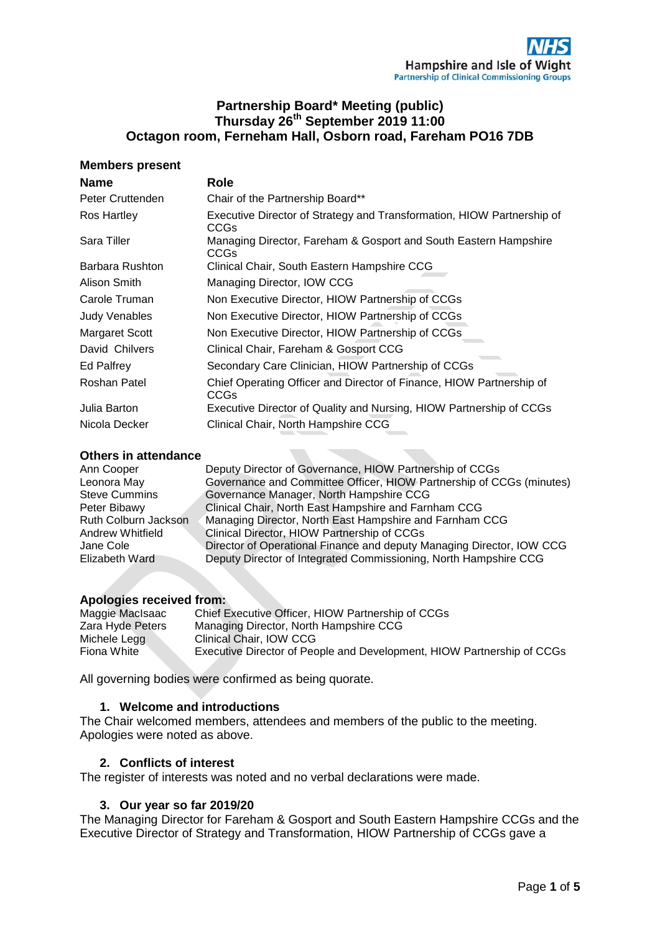## **Partnership Board\* Meeting (public) Thursday 26th September 2019 11:00 Octagon room, Ferneham Hall, Osborn road, Fareham PO16 7DB**

## **Members present**

| <b>Name</b>          | <b>Role</b>                                                                     |
|----------------------|---------------------------------------------------------------------------------|
| Peter Cruttenden     | Chair of the Partnership Board**                                                |
| Ros Hartley          | Executive Director of Strategy and Transformation, HIOW Partnership of<br>CCGs  |
| Sara Tiller          | Managing Director, Fareham & Gosport and South Eastern Hampshire<br><b>CCGs</b> |
| Barbara Rushton      | Clinical Chair, South Eastern Hampshire CCG                                     |
| Alison Smith         | Managing Director, IOW CCG                                                      |
| Carole Truman        | Non Executive Director, HIOW Partnership of CCGs                                |
| <b>Judy Venables</b> | Non Executive Director, HIOW Partnership of CCGs                                |
| Margaret Scott       | Non Executive Director, HIOW Partnership of CCGs                                |
| David Chilvers       | Clinical Chair, Fareham & Gosport CCG                                           |
| Ed Palfrey           | Secondary Care Clinician, HIOW Partnership of CCGs                              |
| Roshan Patel         | Chief Operating Officer and Director of Finance, HIOW Partnership of<br>CCGs    |
| Julia Barton         | Executive Director of Quality and Nursing, HIOW Partnership of CCGs             |
| Nicola Decker        | Clinical Chair, North Hampshire CCG                                             |

## **Others in attendance**

| Ann Cooper           | Deputy Director of Governance, HIOW Partnership of CCGs               |
|----------------------|-----------------------------------------------------------------------|
| Leonora May          | Governance and Committee Officer, HIOW Partnership of CCGs (minutes)  |
| <b>Steve Cummins</b> | Governance Manager, North Hampshire CCG                               |
| Peter Bibawy         | Clinical Chair, North East Hampshire and Farnham CCG                  |
| Ruth Colburn Jackson | Managing Director, North East Hampshire and Farnham CCG               |
| Andrew Whitfield     | Clinical Director, HIOW Partnership of CCGs                           |
| Jane Cole            | Director of Operational Finance and deputy Managing Director, IOW CCG |
| Elizabeth Ward       | Deputy Director of Integrated Commissioning, North Hampshire CCG      |

## **Apologies received from:**

| Maggie MacIsaac  | Chief Executive Officer, HIOW Partnership of CCGs                      |
|------------------|------------------------------------------------------------------------|
| Zara Hyde Peters | Managing Director, North Hampshire CCG                                 |
| Michele Legg     | Clinical Chair, IOW CCG                                                |
| Fiona White      | Executive Director of People and Development, HIOW Partnership of CCGs |

All governing bodies were confirmed as being quorate.

## **1. Welcome and introductions**

The Chair welcomed members, attendees and members of the public to the meeting. Apologies were noted as above.

## **2. Conflicts of interest**

The register of interests was noted and no verbal declarations were made.

## **3. Our year so far 2019/20**

The Managing Director for Fareham & Gosport and South Eastern Hampshire CCGs and the Executive Director of Strategy and Transformation, HIOW Partnership of CCGs gave a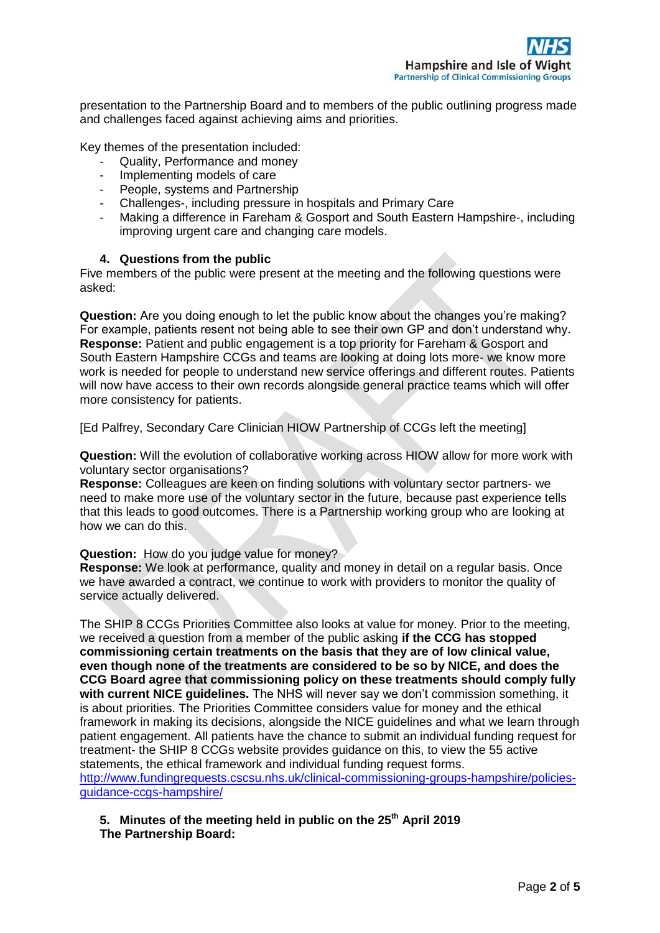presentation to the Partnership Board and to members of the public outlining progress made and challenges faced against achieving aims and priorities.

Key themes of the presentation included:

- Quality, Performance and money
- Implementing models of care
- People, systems and Partnership
- Challenges-, including pressure in hospitals and Primary Care
- Making a difference in Fareham & Gosport and South Eastern Hampshire-, including improving urgent care and changing care models.

## **4. Questions from the public**

Five members of the public were present at the meeting and the following questions were asked:

**Question:** Are you doing enough to let the public know about the changes you're making? For example, patients resent not being able to see their own GP and don't understand why. **Response:** Patient and public engagement is a top priority for Fareham & Gosport and South Eastern Hampshire CCGs and teams are looking at doing lots more- we know more work is needed for people to understand new service offerings and different routes. Patients will now have access to their own records alongside general practice teams which will offer more consistency for patients.

[Ed Palfrey, Secondary Care Clinician HIOW Partnership of CCGs left the meeting]

**Question:** Will the evolution of collaborative working across HIOW allow for more work with voluntary sector organisations?

**Response:** Colleagues are keen on finding solutions with voluntary sector partners- we need to make more use of the voluntary sector in the future, because past experience tells that this leads to good outcomes. There is a Partnership working group who are looking at how we can do this.

## **Question:** How do you judge value for money?

**Response:** We look at performance, quality and money in detail on a regular basis. Once we have awarded a contract, we continue to work with providers to monitor the quality of service actually delivered.

The SHIP 8 CCGs Priorities Committee also looks at value for money. Prior to the meeting, we received a question from a member of the public asking **if the CCG has stopped commissioning certain treatments on the basis that they are of low clinical value, even though none of the treatments are considered to be so by NICE, and does the CCG Board agree that commissioning policy on these treatments should comply fully with current NICE guidelines.** The NHS will never say we don't commission something, it is about priorities. The Priorities Committee considers value for money and the ethical framework in making its decisions, alongside the NICE guidelines and what we learn through patient engagement. All patients have the chance to submit an individual funding request for treatment- the SHIP 8 CCGs website provides guidance on this, to view the 55 active statements, the ethical framework and individual funding request forms. [http://www.fundingrequests.cscsu.nhs.uk/clinical-commissioning-groups-hampshire/policies](http://www.fundingrequests.cscsu.nhs.uk/clinical-commissioning-groups-hampshire/policies-guidance-ccgs-hampshire/)[guidance-ccgs-hampshire/](http://www.fundingrequests.cscsu.nhs.uk/clinical-commissioning-groups-hampshire/policies-guidance-ccgs-hampshire/)

**5. Minutes of the meeting held in public on the 25th April 2019 The Partnership Board:**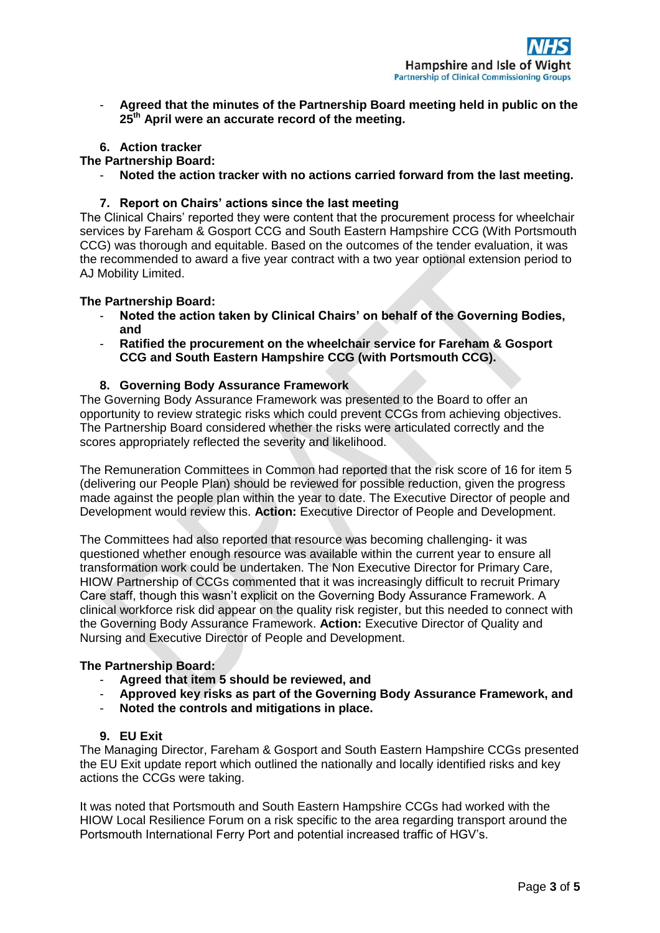- **Agreed that the minutes of the Partnership Board meeting held in public on the 25th April were an accurate record of the meeting.** 

## **6. Action tracker**

## **The Partnership Board:**

- **Noted the action tracker with no actions carried forward from the last meeting.**

## **7. Report on Chairs' actions since the last meeting**

The Clinical Chairs' reported they were content that the procurement process for wheelchair services by Fareham & Gosport CCG and South Eastern Hampshire CCG (With Portsmouth CCG) was thorough and equitable. Based on the outcomes of the tender evaluation, it was the recommended to award a five year contract with a two year optional extension period to AJ Mobility Limited.

## **The Partnership Board:**

- **Noted the action taken by Clinical Chairs' on behalf of the Governing Bodies, and**
- **Ratified the procurement on the wheelchair service for Fareham & Gosport CCG and South Eastern Hampshire CCG (with Portsmouth CCG).**

## **8. Governing Body Assurance Framework**

The Governing Body Assurance Framework was presented to the Board to offer an opportunity to review strategic risks which could prevent CCGs from achieving objectives. The Partnership Board considered whether the risks were articulated correctly and the scores appropriately reflected the severity and likelihood.

The Remuneration Committees in Common had reported that the risk score of 16 for item 5 (delivering our People Plan) should be reviewed for possible reduction, given the progress made against the people plan within the year to date. The Executive Director of people and Development would review this. **Action:** Executive Director of People and Development.

The Committees had also reported that resource was becoming challenging- it was questioned whether enough resource was available within the current year to ensure all transformation work could be undertaken. The Non Executive Director for Primary Care, HIOW Partnership of CCGs commented that it was increasingly difficult to recruit Primary Care staff, though this wasn't explicit on the Governing Body Assurance Framework. A clinical workforce risk did appear on the quality risk register, but this needed to connect with the Governing Body Assurance Framework. **Action:** Executive Director of Quality and Nursing and Executive Director of People and Development.

## **The Partnership Board:**

- **Agreed that item 5 should be reviewed, and**
- **Approved key risks as part of the Governing Body Assurance Framework, and**
- **Noted the controls and mitigations in place.**
- **9. EU Exit**

The Managing Director, Fareham & Gosport and South Eastern Hampshire CCGs presented the EU Exit update report which outlined the nationally and locally identified risks and key actions the CCGs were taking.

It was noted that Portsmouth and South Eastern Hampshire CCGs had worked with the HIOW Local Resilience Forum on a risk specific to the area regarding transport around the Portsmouth International Ferry Port and potential increased traffic of HGV's.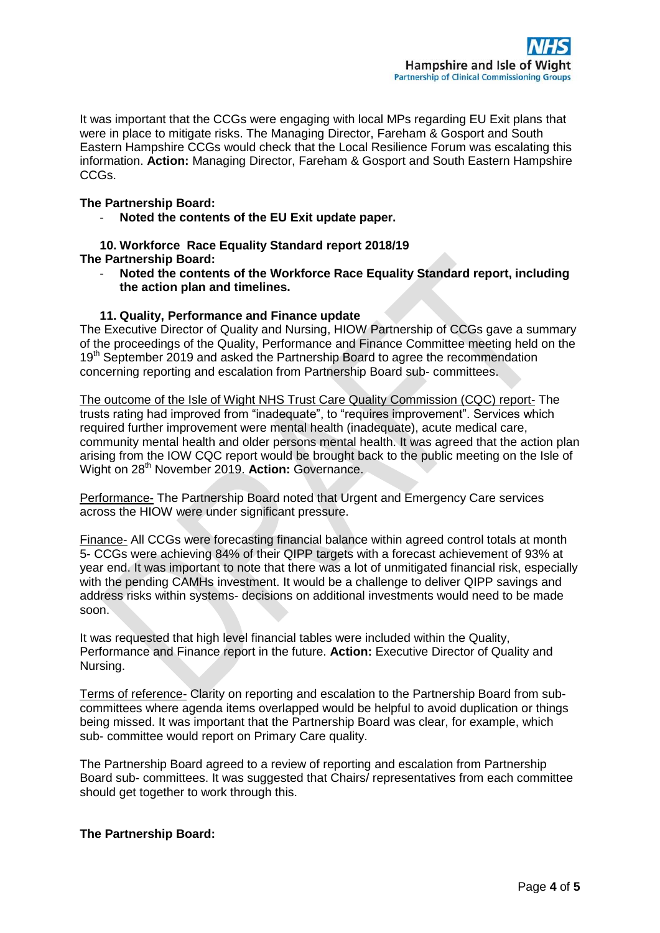It was important that the CCGs were engaging with local MPs regarding EU Exit plans that were in place to mitigate risks. The Managing Director, Fareham & Gosport and South Eastern Hampshire CCGs would check that the Local Resilience Forum was escalating this information. **Action:** Managing Director, Fareham & Gosport and South Eastern Hampshire CCGs.

## **The Partnership Board:**

- **Noted the contents of the EU Exit update paper.**

**10. Workforce Race Equality Standard report 2018/19 The Partnership Board:**

- **Noted the contents of the Workforce Race Equality Standard report, including the action plan and timelines.**

## **11. Quality, Performance and Finance update**

The Executive Director of Quality and Nursing, HIOW Partnership of CCGs gave a summary of the proceedings of the Quality, Performance and Finance Committee meeting held on the 19<sup>th</sup> September 2019 and asked the Partnership Board to agree the recommendation concerning reporting and escalation from Partnership Board sub- committees.

The outcome of the Isle of Wight NHS Trust Care Quality Commission (CQC) report- The trusts rating had improved from "inadequate", to "requires improvement". Services which required further improvement were mental health (inadequate), acute medical care, community mental health and older persons mental health. It was agreed that the action plan arising from the IOW CQC report would be brought back to the public meeting on the Isle of Wight on 28th November 2019. **Action:** Governance.

Performance- The Partnership Board noted that Urgent and Emergency Care services across the HIOW were under significant pressure.

Finance- All CCGs were forecasting financial balance within agreed control totals at month 5- CCGs were achieving 84% of their QIPP targets with a forecast achievement of 93% at year end. It was important to note that there was a lot of unmitigated financial risk, especially with the pending CAMHs investment. It would be a challenge to deliver QIPP savings and address risks within systems- decisions on additional investments would need to be made soon.

It was requested that high level financial tables were included within the Quality, Performance and Finance report in the future. **Action:** Executive Director of Quality and Nursing.

Terms of reference- Clarity on reporting and escalation to the Partnership Board from subcommittees where agenda items overlapped would be helpful to avoid duplication or things being missed. It was important that the Partnership Board was clear, for example, which sub- committee would report on Primary Care quality.

The Partnership Board agreed to a review of reporting and escalation from Partnership Board sub- committees. It was suggested that Chairs/ representatives from each committee should get together to work through this.

## **The Partnership Board:**